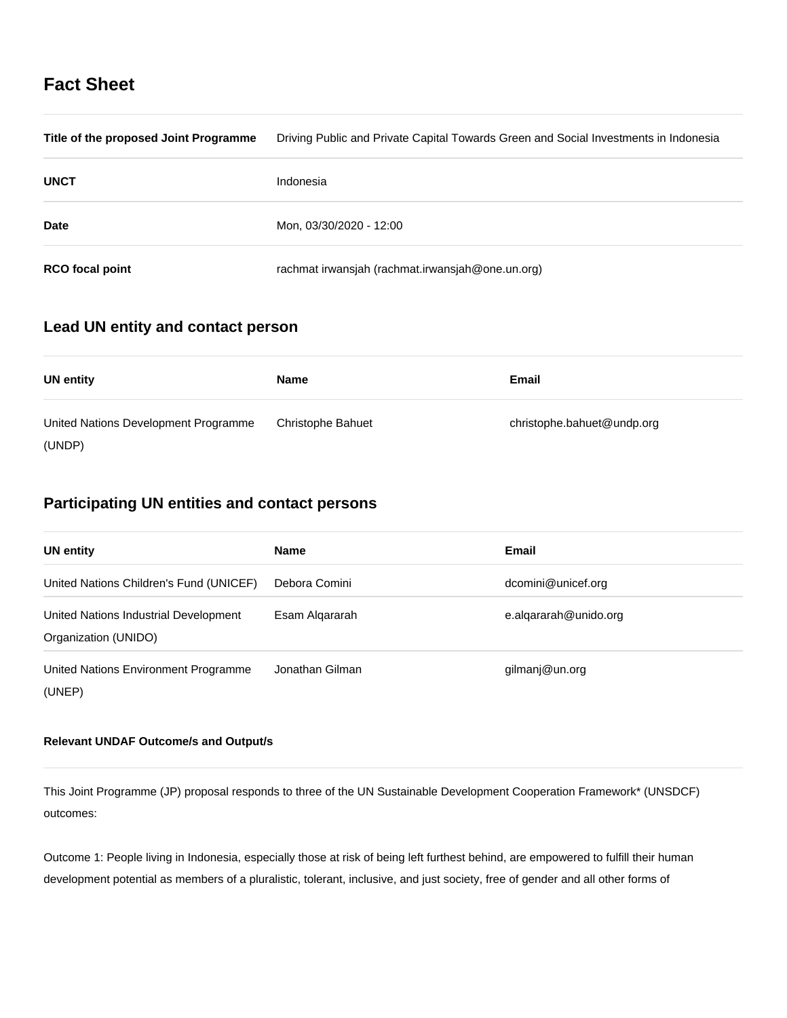# **Fact Sheet**

| Title of the proposed Joint Programme | Driving Public and Private Capital Towards Green and Social Investments in Indonesia |
|---------------------------------------|--------------------------------------------------------------------------------------|
| <b>UNCT</b>                           | Indonesia                                                                            |
| <b>Date</b>                           | Mon, 03/30/2020 - 12:00                                                              |
| <b>RCO</b> focal point                | rachmat irwansjah (rachmat.irwansjah@one.un.org)                                     |

# **Lead UN entity and contact person**

| <b>UN entity</b>                     | <b>Name</b>              | Email                      |
|--------------------------------------|--------------------------|----------------------------|
| United Nations Development Programme | <b>Christophe Bahuet</b> | christophe.bahuet@undp.org |
| (UNDP)                               |                          |                            |

# **Participating UN entities and contact persons**

| <b>UN entity</b>                                              | <b>Name</b>     | <b>Email</b>          |
|---------------------------------------------------------------|-----------------|-----------------------|
| United Nations Children's Fund (UNICEF)                       | Debora Comini   | dcomini@unicef.org    |
| United Nations Industrial Development<br>Organization (UNIDO) | Esam Algararah  | e.algararah@unido.org |
| United Nations Environment Programme<br>(UNEP)                | Jonathan Gilman | gilmanj@un.org        |

# **Relevant UNDAF Outcome/s and Output/s**

This Joint Programme (JP) proposal responds to three of the UN Sustainable Development Cooperation Framework\* (UNSDCF) outcomes:

Outcome 1: People living in Indonesia, especially those at risk of being left furthest behind, are empowered to fulfill their human development potential as members of a pluralistic, tolerant, inclusive, and just society, free of gender and all other forms of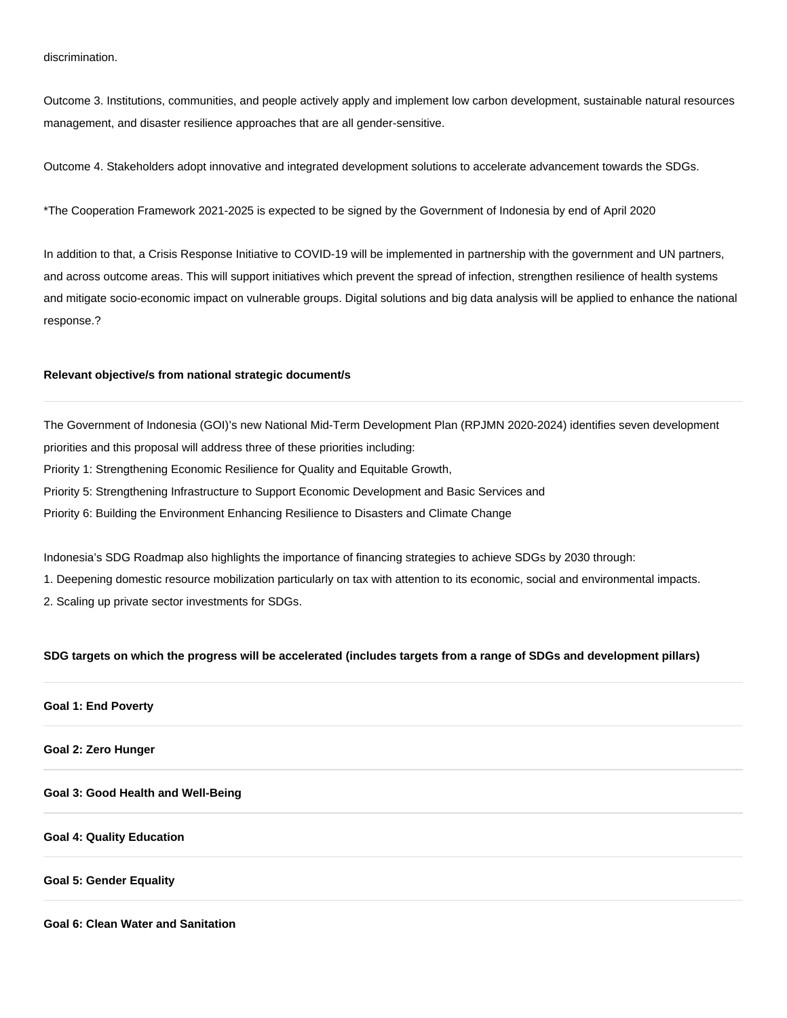Outcome 3. Institutions, communities, and people actively apply and implement low carbon development, sustainable natural resources management, and disaster resilience approaches that are all gender-sensitive.

Outcome 4. Stakeholders adopt innovative and integrated development solutions to accelerate advancement towards the SDGs.

\*The Cooperation Framework 2021-2025 is expected to be signed by the Government of Indonesia by end of April 2020

In addition to that, a Crisis Response Initiative to COVID-19 will be implemented in partnership with the government and UN partners, and across outcome areas. This will support initiatives which prevent the spread of infection, strengthen resilience of health systems and mitigate socio-economic impact on vulnerable groups. Digital solutions and big data analysis will be applied to enhance the national response.?

## **Relevant objective/s from national strategic document/s**

The Government of Indonesia (GOI)'s new National Mid-Term Development Plan (RPJMN 2020-2024) identifies seven development priorities and this proposal will address three of these priorities including: Priority 1: Strengthening Economic Resilience for Quality and Equitable Growth, Priority 5: Strengthening Infrastructure to Support Economic Development and Basic Services and Priority 6: Building the Environment Enhancing Resilience to Disasters and Climate Change

Indonesia's SDG Roadmap also highlights the importance of financing strategies to achieve SDGs by 2030 through:

1. Deepening domestic resource mobilization particularly on tax with attention to its economic, social and environmental impacts.

2. Scaling up private sector investments for SDGs.

#### **SDG targets on which the progress will be accelerated (includes targets from a range of SDGs and development pillars)**

## **Goal 1: End Poverty**

### **Goal 2: Zero Hunger**

**Goal 3: Good Health and Well-Being**

#### **Goal 4: Quality Education**

#### **Goal 5: Gender Equality**

**Goal 6: Clean Water and Sanitation**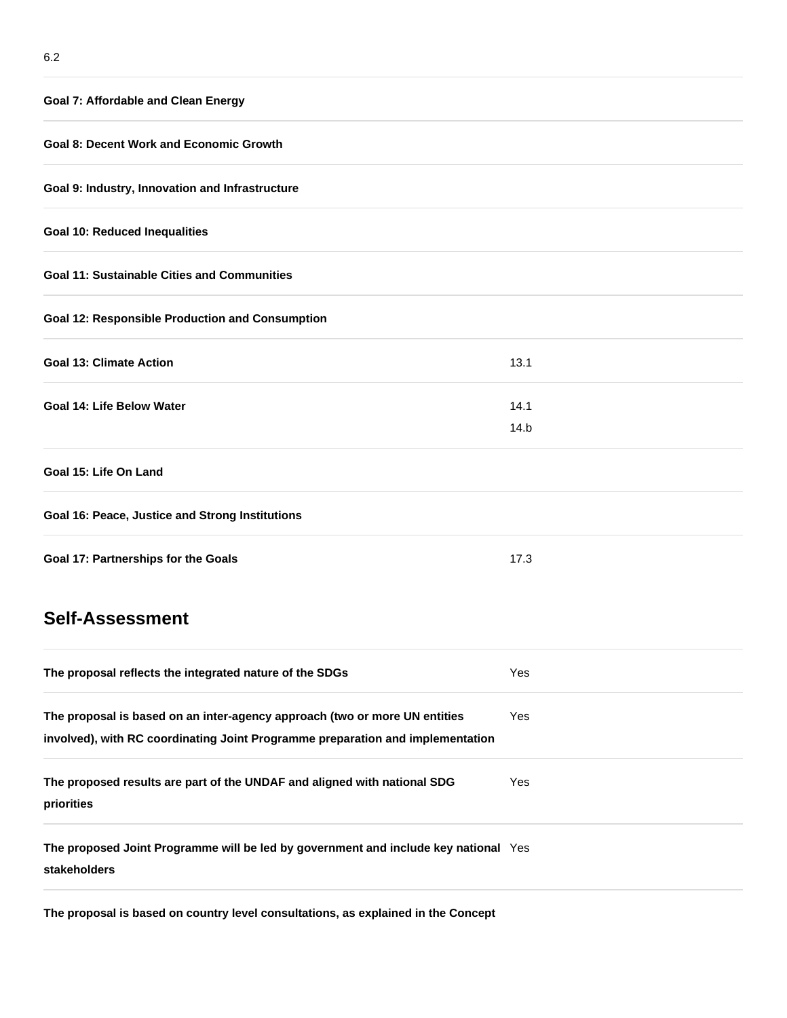| <b>Goal 7: Affordable and Clean Energy</b>                                                          |      |  |  |
|-----------------------------------------------------------------------------------------------------|------|--|--|
| <b>Goal 8: Decent Work and Economic Growth</b>                                                      |      |  |  |
| Goal 9: Industry, Innovation and Infrastructure                                                     |      |  |  |
| <b>Goal 10: Reduced Inequalities</b>                                                                |      |  |  |
| <b>Goal 11: Sustainable Cities and Communities</b>                                                  |      |  |  |
| <b>Goal 12: Responsible Production and Consumption</b>                                              |      |  |  |
| <b>Goal 13: Climate Action</b>                                                                      | 13.1 |  |  |
| Goal 14: Life Below Water                                                                           | 14.1 |  |  |
|                                                                                                     | 14.b |  |  |
| Goal 15: Life On Land                                                                               |      |  |  |
| Goal 16: Peace, Justice and Strong Institutions                                                     |      |  |  |
| Goal 17: Partnerships for the Goals                                                                 | 17.3 |  |  |
| <b>Self-Assessment</b>                                                                              |      |  |  |
| The proposal reflects the integrated nature of the SDGs                                             | Yes  |  |  |
| The proposal is based on an inter-agency approach (two or more UN entities                          | Yes  |  |  |
| involved), with RC coordinating Joint Programme preparation and implementation                      |      |  |  |
| The proposed results are part of the UNDAF and aligned with national SDG<br>priorities              | Yes  |  |  |
| The proposed Joint Programme will be led by government and include key national Yes<br>stakeholders |      |  |  |

**The proposal is based on country level consultations, as explained in the Concept**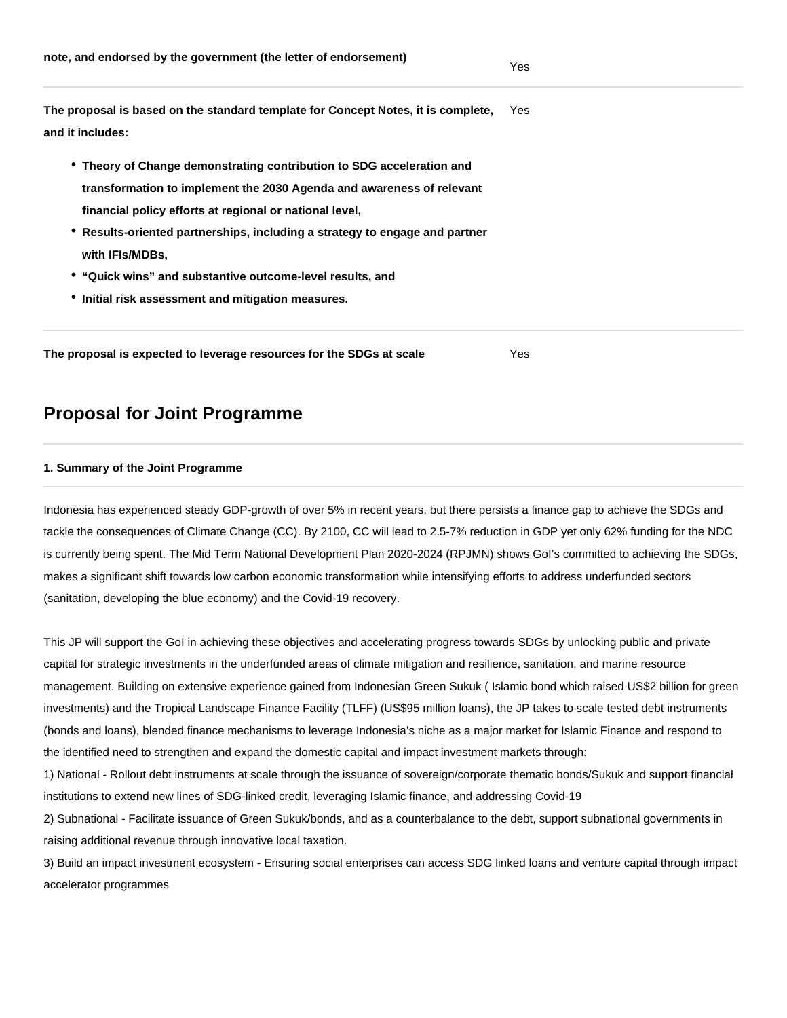**The proposal is based on the standard template for Concept Notes, it is complete, and it includes:**  Yes

- **Theory of Change demonstrating contribution to SDG acceleration and transformation to implement the 2030 Agenda and awareness of relevant financial policy efforts at regional or national level,**
- **Results-oriented partnerships, including a strategy to engage and partner with IFIs/MDBs,**
- **"Quick wins" and substantive outcome-level results, and**
- **Initial risk assessment and mitigation measures.**

**The proposal is expected to leverage resources for the SDGs at scale** Yes

# **Proposal for Joint Programme**

## **1. Summary of the Joint Programme**

Indonesia has experienced steady GDP-growth of over 5% in recent years, but there persists a finance gap to achieve the SDGs and tackle the consequences of Climate Change (CC). By 2100, CC will lead to 2.5-7% reduction in GDP yet only 62% funding for the NDC is currently being spent. The Mid Term National Development Plan 2020-2024 (RPJMN) shows GoI's committed to achieving the SDGs, makes a significant shift towards low carbon economic transformation while intensifying efforts to address underfunded sectors (sanitation, developing the blue economy) and the Covid-19 recovery.

This JP will support the GoI in achieving these objectives and accelerating progress towards SDGs by unlocking public and private capital for strategic investments in the underfunded areas of climate mitigation and resilience, sanitation, and marine resource management. Building on extensive experience gained from Indonesian Green Sukuk ( Islamic bond which raised US\$2 billion for green investments) and the Tropical Landscape Finance Facility (TLFF) (US\$95 million loans), the JP takes to scale tested debt instruments (bonds and loans), blended finance mechanisms to leverage Indonesia's niche as a major market for Islamic Finance and respond to the identified need to strengthen and expand the domestic capital and impact investment markets through:

1) National - Rollout debt instruments at scale through the issuance of sovereign/corporate thematic bonds/Sukuk and support financial institutions to extend new lines of SDG-linked credit, leveraging Islamic finance, and addressing Covid-19

2) Subnational - Facilitate issuance of Green Sukuk/bonds, and as a counterbalance to the debt, support subnational governments in raising additional revenue through innovative local taxation.

3) Build an impact investment ecosystem - Ensuring social enterprises can access SDG linked loans and venture capital through impact accelerator programmes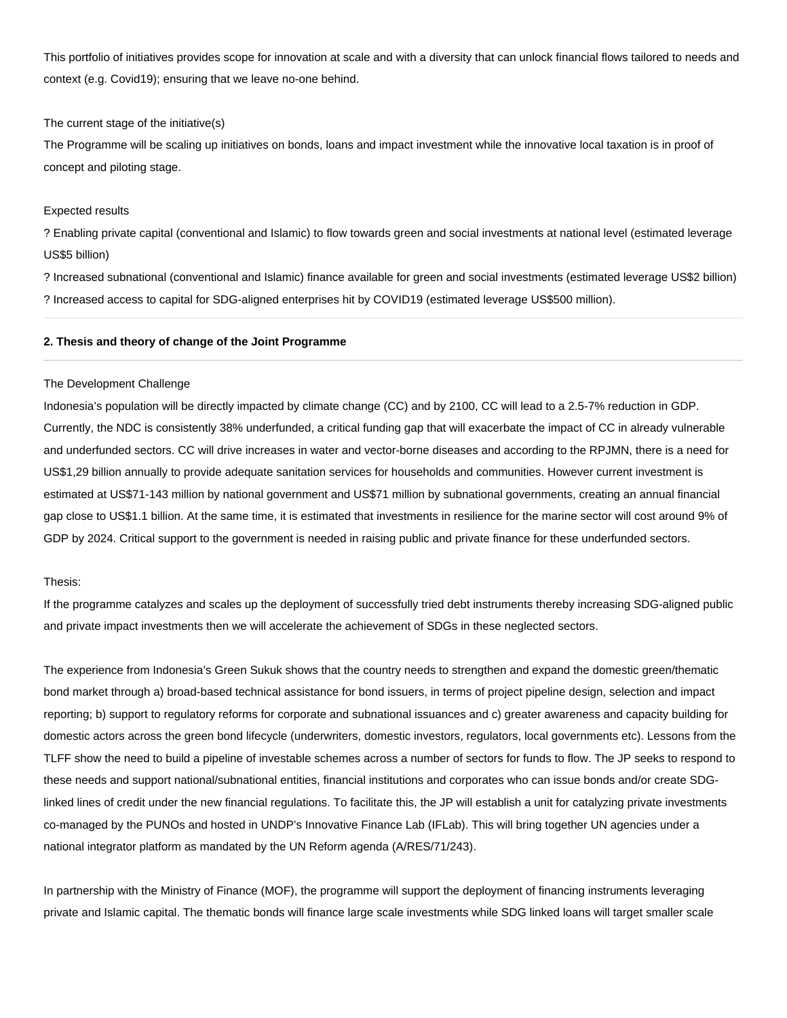This portfolio of initiatives provides scope for innovation at scale and with a diversity that can unlock financial flows tailored to needs and context (e.g. Covid19); ensuring that we leave no-one behind.

#### The current stage of the initiative(s)

The Programme will be scaling up initiatives on bonds, loans and impact investment while the innovative local taxation is in proof of concept and piloting stage.

#### Expected results

? Enabling private capital (conventional and Islamic) to flow towards green and social investments at national level (estimated leverage US\$5 billion)

? Increased subnational (conventional and Islamic) finance available for green and social investments (estimated leverage US\$2 billion) ? Increased access to capital for SDG-aligned enterprises hit by COVID19 (estimated leverage US\$500 million).

#### **2. Thesis and theory of change of the Joint Programme**

## The Development Challenge

Indonesia's population will be directly impacted by climate change (CC) and by 2100, CC will lead to a 2.5-7% reduction in GDP. Currently, the NDC is consistently 38% underfunded, a critical funding gap that will exacerbate the impact of CC in already vulnerable and underfunded sectors. CC will drive increases in water and vector-borne diseases and according to the RPJMN, there is a need for US\$1,29 billion annually to provide adequate sanitation services for households and communities. However current investment is estimated at US\$71-143 million by national government and US\$71 million by subnational governments, creating an annual financial gap close to US\$1.1 billion. At the same time, it is estimated that investments in resilience for the marine sector will cost around 9% of GDP by 2024. Critical support to the government is needed in raising public and private finance for these underfunded sectors.

## Thesis:

If the programme catalyzes and scales up the deployment of successfully tried debt instruments thereby increasing SDG-aligned public and private impact investments then we will accelerate the achievement of SDGs in these neglected sectors.

The experience from Indonesia's Green Sukuk shows that the country needs to strengthen and expand the domestic green/thematic bond market through a) broad-based technical assistance for bond issuers, in terms of project pipeline design, selection and impact reporting; b) support to regulatory reforms for corporate and subnational issuances and c) greater awareness and capacity building for domestic actors across the green bond lifecycle (underwriters, domestic investors, regulators, local governments etc). Lessons from the TLFF show the need to build a pipeline of investable schemes across a number of sectors for funds to flow. The JP seeks to respond to these needs and support national/subnational entities, financial institutions and corporates who can issue bonds and/or create SDGlinked lines of credit under the new financial regulations. To facilitate this, the JP will establish a unit for catalyzing private investments co-managed by the PUNOs and hosted in UNDP's Innovative Finance Lab (IFLab). This will bring together UN agencies under a national integrator platform as mandated by the UN Reform agenda (A/RES/71/243).

In partnership with the Ministry of Finance (MOF), the programme will support the deployment of financing instruments leveraging private and Islamic capital. The thematic bonds will finance large scale investments while SDG linked loans will target smaller scale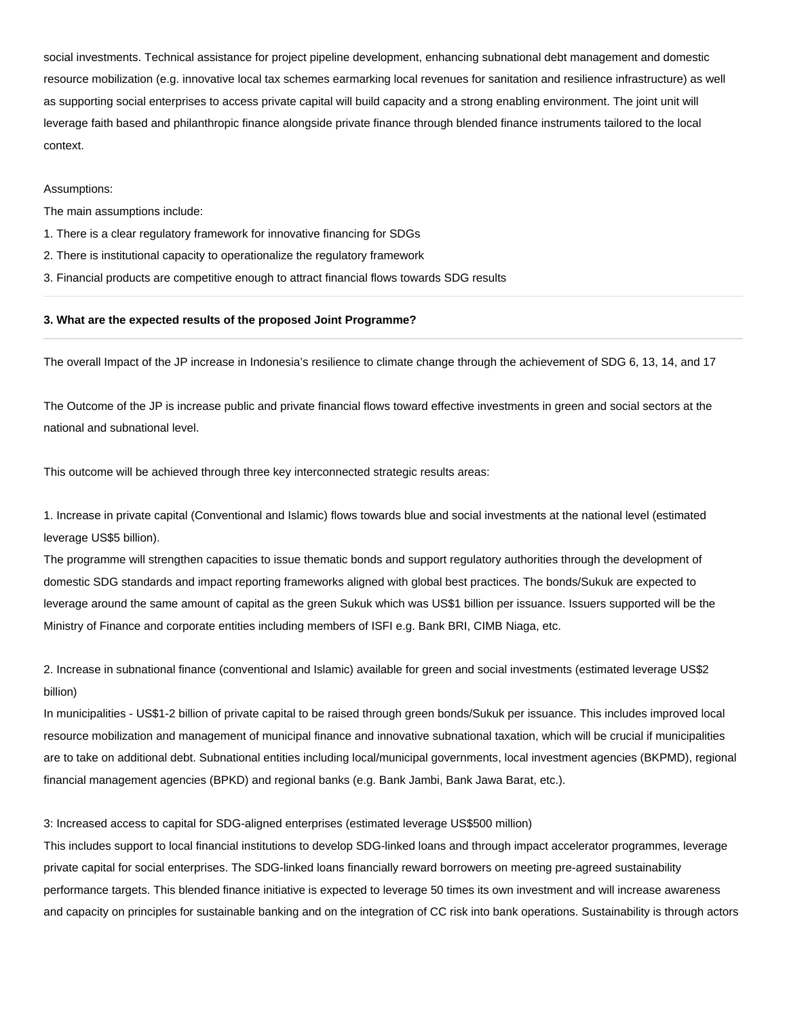social investments. Technical assistance for project pipeline development, enhancing subnational debt management and domestic resource mobilization (e.g. innovative local tax schemes earmarking local revenues for sanitation and resilience infrastructure) as well as supporting social enterprises to access private capital will build capacity and a strong enabling environment. The joint unit will leverage faith based and philanthropic finance alongside private finance through blended finance instruments tailored to the local context.

#### Assumptions:

The main assumptions include:

- 1. There is a clear regulatory framework for innovative financing for SDGs
- 2. There is institutional capacity to operationalize the regulatory framework
- 3. Financial products are competitive enough to attract financial flows towards SDG results

#### **3. What are the expected results of the proposed Joint Programme?**

The overall Impact of the JP increase in Indonesia's resilience to climate change through the achievement of SDG 6, 13, 14, and 17

The Outcome of the JP is increase public and private financial flows toward effective investments in green and social sectors at the national and subnational level.

This outcome will be achieved through three key interconnected strategic results areas:

1. Increase in private capital (Conventional and Islamic) flows towards blue and social investments at the national level (estimated leverage US\$5 billion).

The programme will strengthen capacities to issue thematic bonds and support regulatory authorities through the development of domestic SDG standards and impact reporting frameworks aligned with global best practices. The bonds/Sukuk are expected to leverage around the same amount of capital as the green Sukuk which was US\$1 billion per issuance. Issuers supported will be the Ministry of Finance and corporate entities including members of ISFI e.g. Bank BRI, CIMB Niaga, etc.

2. Increase in subnational finance (conventional and Islamic) available for green and social investments (estimated leverage US\$2 billion)

In municipalities - US\$1-2 billion of private capital to be raised through green bonds/Sukuk per issuance. This includes improved local resource mobilization and management of municipal finance and innovative subnational taxation, which will be crucial if municipalities are to take on additional debt. Subnational entities including local/municipal governments, local investment agencies (BKPMD), regional financial management agencies (BPKD) and regional banks (e.g. Bank Jambi, Bank Jawa Barat, etc.).

#### 3: Increased access to capital for SDG-aligned enterprises (estimated leverage US\$500 million)

This includes support to local financial institutions to develop SDG-linked loans and through impact accelerator programmes, leverage private capital for social enterprises. The SDG-linked loans financially reward borrowers on meeting pre-agreed sustainability performance targets. This blended finance initiative is expected to leverage 50 times its own investment and will increase awareness and capacity on principles for sustainable banking and on the integration of CC risk into bank operations. Sustainability is through actors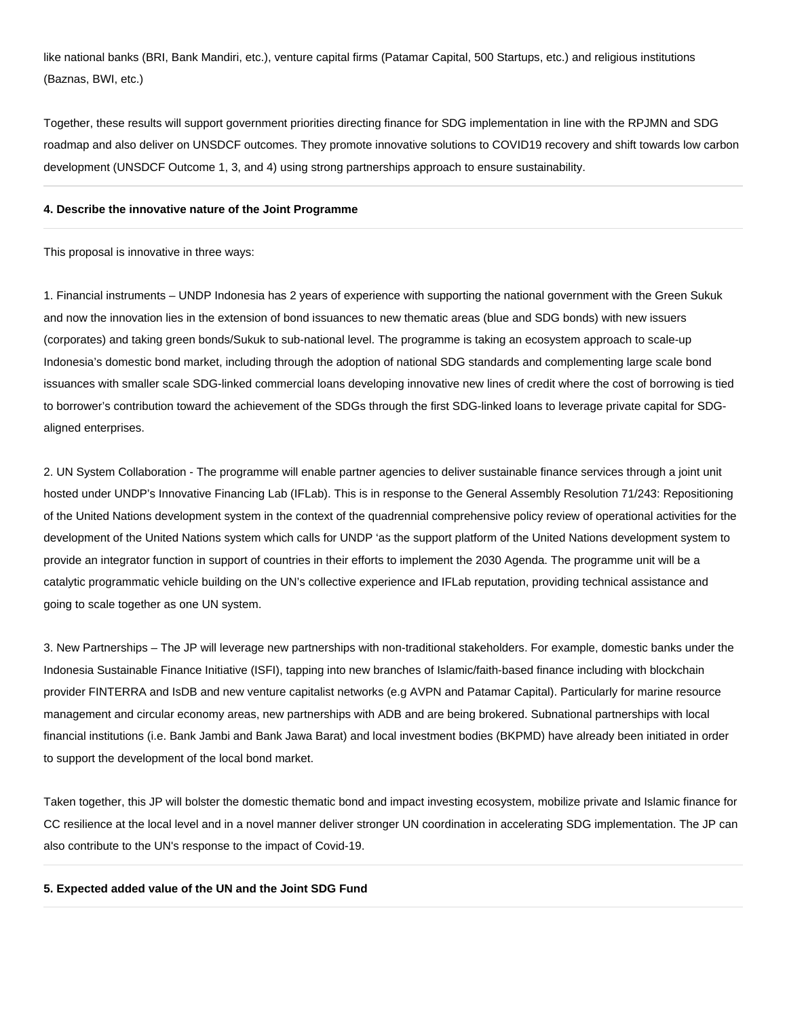like national banks (BRI, Bank Mandiri, etc.), venture capital firms (Patamar Capital, 500 Startups, etc.) and religious institutions (Baznas, BWI, etc.)

Together, these results will support government priorities directing finance for SDG implementation in line with the RPJMN and SDG roadmap and also deliver on UNSDCF outcomes. They promote innovative solutions to COVID19 recovery and shift towards low carbon development (UNSDCF Outcome 1, 3, and 4) using strong partnerships approach to ensure sustainability.

### **4. Describe the innovative nature of the Joint Programme**

This proposal is innovative in three ways:

1. Financial instruments – UNDP Indonesia has 2 years of experience with supporting the national government with the Green Sukuk and now the innovation lies in the extension of bond issuances to new thematic areas (blue and SDG bonds) with new issuers (corporates) and taking green bonds/Sukuk to sub-national level. The programme is taking an ecosystem approach to scale-up Indonesia's domestic bond market, including through the adoption of national SDG standards and complementing large scale bond issuances with smaller scale SDG-linked commercial loans developing innovative new lines of credit where the cost of borrowing is tied to borrower's contribution toward the achievement of the SDGs through the first SDG-linked loans to leverage private capital for SDGaligned enterprises.

2. UN System Collaboration - The programme will enable partner agencies to deliver sustainable finance services through a joint unit hosted under UNDP's Innovative Financing Lab (IFLab). This is in response to the General Assembly Resolution 71/243: Repositioning of the United Nations development system in the context of the quadrennial comprehensive policy review of operational activities for the development of the United Nations system which calls for UNDP 'as the support platform of the United Nations development system to provide an integrator function in support of countries in their efforts to implement the 2030 Agenda. The programme unit will be a catalytic programmatic vehicle building on the UN's collective experience and IFLab reputation, providing technical assistance and going to scale together as one UN system.

3. New Partnerships – The JP will leverage new partnerships with non-traditional stakeholders. For example, domestic banks under the Indonesia Sustainable Finance Initiative (ISFI), tapping into new branches of Islamic/faith-based finance including with blockchain provider FINTERRA and IsDB and new venture capitalist networks (e.g AVPN and Patamar Capital). Particularly for marine resource management and circular economy areas, new partnerships with ADB and are being brokered. Subnational partnerships with local financial institutions (i.e. Bank Jambi and Bank Jawa Barat) and local investment bodies (BKPMD) have already been initiated in order to support the development of the local bond market.

Taken together, this JP will bolster the domestic thematic bond and impact investing ecosystem, mobilize private and Islamic finance for CC resilience at the local level and in a novel manner deliver stronger UN coordination in accelerating SDG implementation. The JP can also contribute to the UN's response to the impact of Covid-19.

#### **5. Expected added value of the UN and the Joint SDG Fund**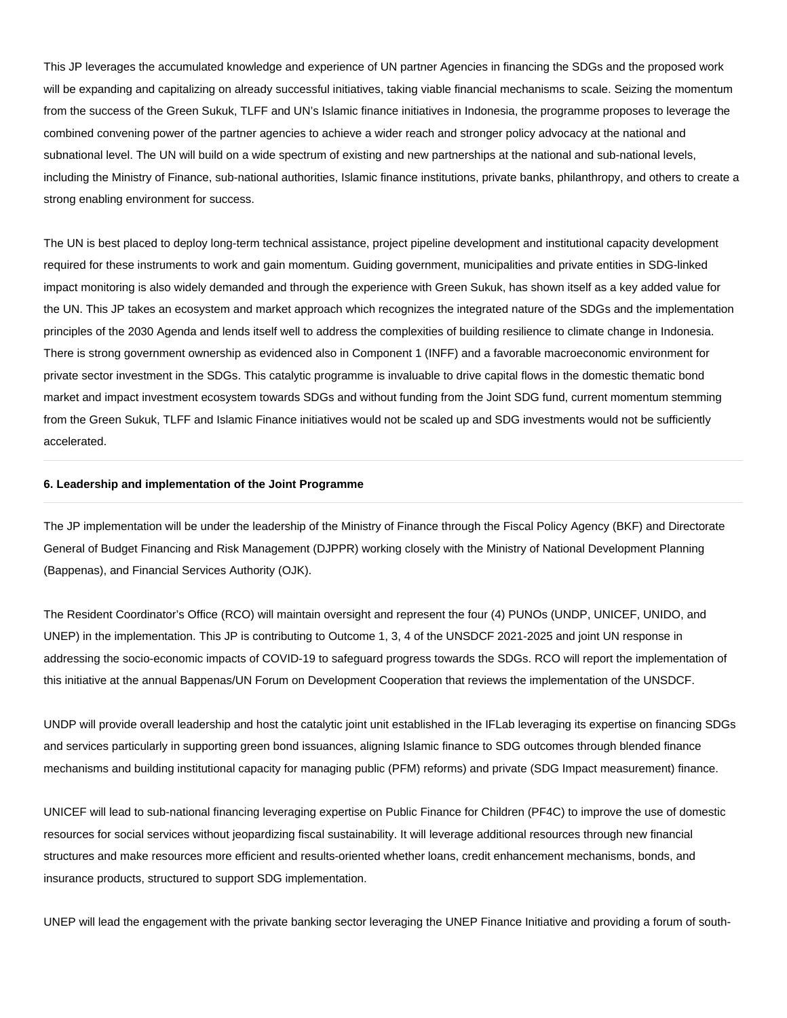This JP leverages the accumulated knowledge and experience of UN partner Agencies in financing the SDGs and the proposed work will be expanding and capitalizing on already successful initiatives, taking viable financial mechanisms to scale. Seizing the momentum from the success of the Green Sukuk, TLFF and UN's Islamic finance initiatives in Indonesia, the programme proposes to leverage the combined convening power of the partner agencies to achieve a wider reach and stronger policy advocacy at the national and subnational level. The UN will build on a wide spectrum of existing and new partnerships at the national and sub-national levels, including the Ministry of Finance, sub-national authorities, Islamic finance institutions, private banks, philanthropy, and others to create a strong enabling environment for success.

The UN is best placed to deploy long-term technical assistance, project pipeline development and institutional capacity development required for these instruments to work and gain momentum. Guiding government, municipalities and private entities in SDG-linked impact monitoring is also widely demanded and through the experience with Green Sukuk, has shown itself as a key added value for the UN. This JP takes an ecosystem and market approach which recognizes the integrated nature of the SDGs and the implementation principles of the 2030 Agenda and lends itself well to address the complexities of building resilience to climate change in Indonesia. There is strong government ownership as evidenced also in Component 1 (INFF) and a favorable macroeconomic environment for private sector investment in the SDGs. This catalytic programme is invaluable to drive capital flows in the domestic thematic bond market and impact investment ecosystem towards SDGs and without funding from the Joint SDG fund, current momentum stemming from the Green Sukuk, TLFF and Islamic Finance initiatives would not be scaled up and SDG investments would not be sufficiently accelerated.

#### **6. Leadership and implementation of the Joint Programme**

The JP implementation will be under the leadership of the Ministry of Finance through the Fiscal Policy Agency (BKF) and Directorate General of Budget Financing and Risk Management (DJPPR) working closely with the Ministry of National Development Planning (Bappenas), and Financial Services Authority (OJK).

The Resident Coordinator's Office (RCO) will maintain oversight and represent the four (4) PUNOs (UNDP, UNICEF, UNIDO, and UNEP) in the implementation. This JP is contributing to Outcome 1, 3, 4 of the UNSDCF 2021-2025 and joint UN response in addressing the socio-economic impacts of COVID-19 to safeguard progress towards the SDGs. RCO will report the implementation of this initiative at the annual Bappenas/UN Forum on Development Cooperation that reviews the implementation of the UNSDCF.

UNDP will provide overall leadership and host the catalytic joint unit established in the IFLab leveraging its expertise on financing SDGs and services particularly in supporting green bond issuances, aligning Islamic finance to SDG outcomes through blended finance mechanisms and building institutional capacity for managing public (PFM) reforms) and private (SDG Impact measurement) finance.

UNICEF will lead to sub-national financing leveraging expertise on Public Finance for Children (PF4C) to improve the use of domestic resources for social services without jeopardizing fiscal sustainability. It will leverage additional resources through new financial structures and make resources more efficient and results-oriented whether loans, credit enhancement mechanisms, bonds, and insurance products, structured to support SDG implementation.

UNEP will lead the engagement with the private banking sector leveraging the UNEP Finance Initiative and providing a forum of south-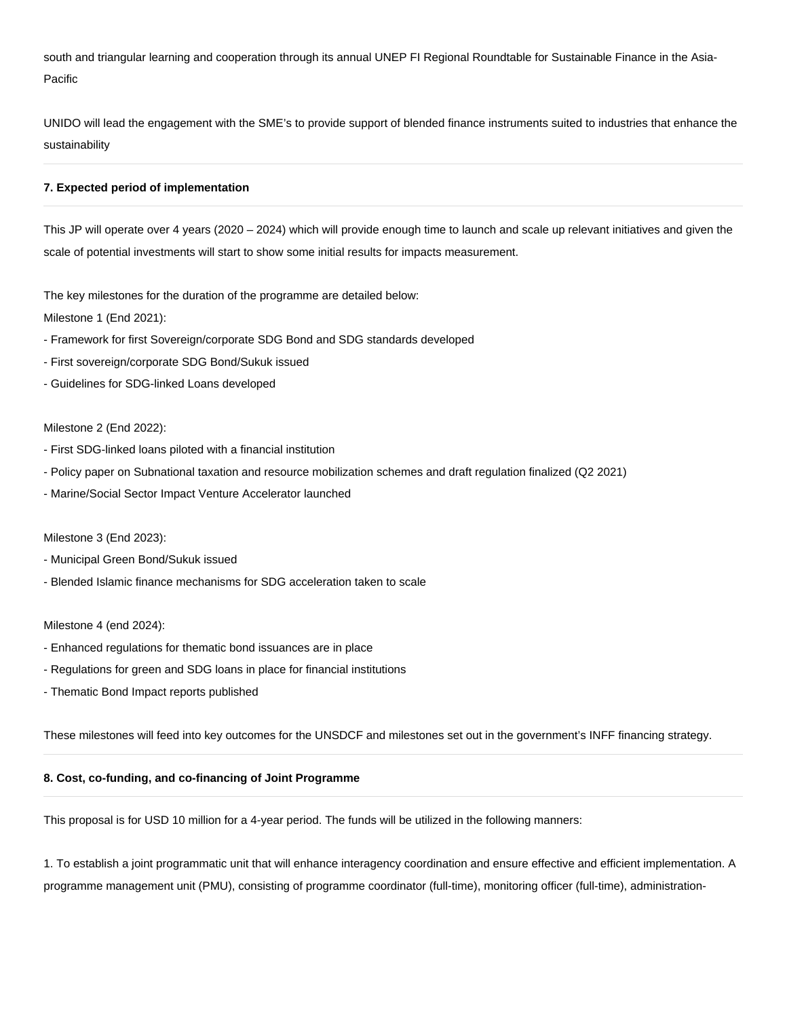south and triangular learning and cooperation through its annual UNEP FI Regional Roundtable for Sustainable Finance in the Asia-Pacific

UNIDO will lead the engagement with the SME's to provide support of blended finance instruments suited to industries that enhance the sustainability

## **7. Expected period of implementation**

This JP will operate over 4 years (2020 – 2024) which will provide enough time to launch and scale up relevant initiatives and given the scale of potential investments will start to show some initial results for impacts measurement.

The key milestones for the duration of the programme are detailed below:

Milestone 1 (End 2021):

- Framework for first Sovereign/corporate SDG Bond and SDG standards developed
- First sovereign/corporate SDG Bond/Sukuk issued
- Guidelines for SDG-linked Loans developed

## Milestone 2 (End 2022):

- First SDG-linked loans piloted with a financial institution
- Policy paper on Subnational taxation and resource mobilization schemes and draft regulation finalized (Q2 2021)
- Marine/Social Sector Impact Venture Accelerator launched

#### Milestone 3 (End 2023):

- Municipal Green Bond/Sukuk issued
- Blended Islamic finance mechanisms for SDG acceleration taken to scale

#### Milestone 4 (end 2024):

- Enhanced regulations for thematic bond issuances are in place
- Regulations for green and SDG loans in place for financial institutions
- Thematic Bond Impact reports published

These milestones will feed into key outcomes for the UNSDCF and milestones set out in the government's INFF financing strategy.

# **8. Cost, co-funding, and co-financing of Joint Programme**

This proposal is for USD 10 million for a 4-year period. The funds will be utilized in the following manners:

1. To establish a joint programmatic unit that will enhance interagency coordination and ensure effective and efficient implementation. A programme management unit (PMU), consisting of programme coordinator (full-time), monitoring officer (full-time), administration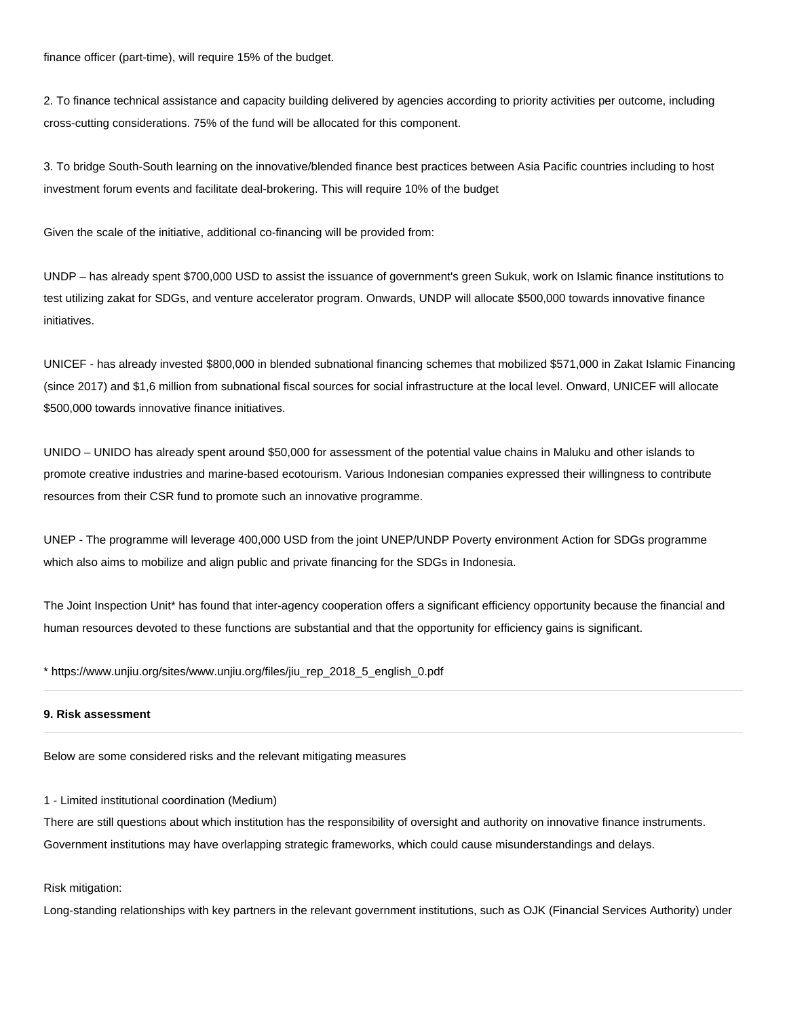finance officer (part-time), will require 15% of the budget.

2. To finance technical assistance and capacity building delivered by agencies according to priority activities per outcome, including cross-cutting considerations. 75% of the fund will be allocated for this component.

3. To bridge South-South learning on the innovative/blended finance best practices between Asia Pacific countries including to host investment forum events and facilitate deal-brokering. This will require 10% of the budget

Given the scale of the initiative, additional co-financing will be provided from:

UNDP – has already spent \$700,000 USD to assist the issuance of government's green Sukuk, work on Islamic finance institutions to test utilizing zakat for SDGs, and venture accelerator program. Onwards, UNDP will allocate \$500,000 towards innovative finance initiatives.

UNICEF - has already invested \$800,000 in blended subnational financing schemes that mobilized \$571,000 in Zakat Islamic Financing (since 2017) and \$1,6 million from subnational fiscal sources for social infrastructure at the local level. Onward, UNICEF will allocate \$500,000 towards innovative finance initiatives.

UNIDO – UNIDO has already spent around \$50,000 for assessment of the potential value chains in Maluku and other islands to promote creative industries and marine-based ecotourism. Various Indonesian companies expressed their willingness to contribute resources from their CSR fund to promote such an innovative programme.

UNEP - The programme will leverage 400,000 USD from the joint UNEP/UNDP Poverty environment Action for SDGs programme which also aims to mobilize and align public and private financing for the SDGs in Indonesia.

The Joint Inspection Unit\* has found that inter-agency cooperation offers a significant efficiency opportunity because the financial and human resources devoted to these functions are substantial and that the opportunity for efficiency gains is significant.

\* https://www.unjiu.org/sites/www.unjiu.org/files/jiu\_rep\_2018\_5\_english\_0.pdf

## **9. Risk assessment**

Below are some considered risks and the relevant mitigating measures

1 - Limited institutional coordination (Medium)

There are still questions about which institution has the responsibility of oversight and authority on innovative finance instruments. Government institutions may have overlapping strategic frameworks, which could cause misunderstandings and delays.

Risk mitigation:

Long-standing relationships with key partners in the relevant government institutions, such as OJK (Financial Services Authority) under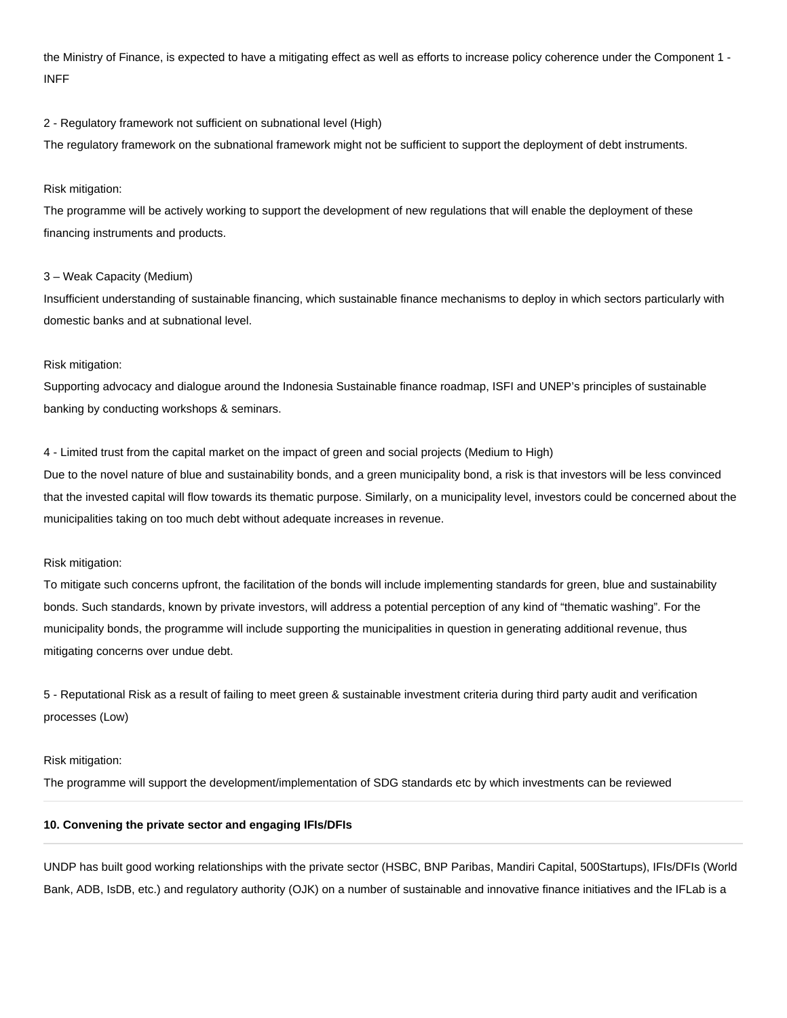the Ministry of Finance, is expected to have a mitigating effect as well as efforts to increase policy coherence under the Component 1 - INFF

#### 2 - Regulatory framework not sufficient on subnational level (High)

The regulatory framework on the subnational framework might not be sufficient to support the deployment of debt instruments.

#### Risk mitigation:

The programme will be actively working to support the development of new regulations that will enable the deployment of these financing instruments and products.

#### 3 – Weak Capacity (Medium)

Insufficient understanding of sustainable financing, which sustainable finance mechanisms to deploy in which sectors particularly with domestic banks and at subnational level.

#### Risk mitigation:

Supporting advocacy and dialogue around the Indonesia Sustainable finance roadmap, ISFI and UNEP's principles of sustainable banking by conducting workshops & seminars.

4 - Limited trust from the capital market on the impact of green and social projects (Medium to High)

Due to the novel nature of blue and sustainability bonds, and a green municipality bond, a risk is that investors will be less convinced that the invested capital will flow towards its thematic purpose. Similarly, on a municipality level, investors could be concerned about the municipalities taking on too much debt without adequate increases in revenue.

#### Risk mitigation:

To mitigate such concerns upfront, the facilitation of the bonds will include implementing standards for green, blue and sustainability bonds. Such standards, known by private investors, will address a potential perception of any kind of "thematic washing". For the municipality bonds, the programme will include supporting the municipalities in question in generating additional revenue, thus mitigating concerns over undue debt.

5 - Reputational Risk as a result of failing to meet green & sustainable investment criteria during third party audit and verification processes (Low)

#### Risk mitigation:

The programme will support the development/implementation of SDG standards etc by which investments can be reviewed

## **10. Convening the private sector and engaging IFIs/DFIs**

UNDP has built good working relationships with the private sector (HSBC, BNP Paribas, Mandiri Capital, 500Startups), IFIs/DFIs (World Bank, ADB, IsDB, etc.) and regulatory authority (OJK) on a number of sustainable and innovative finance initiatives and the IFLab is a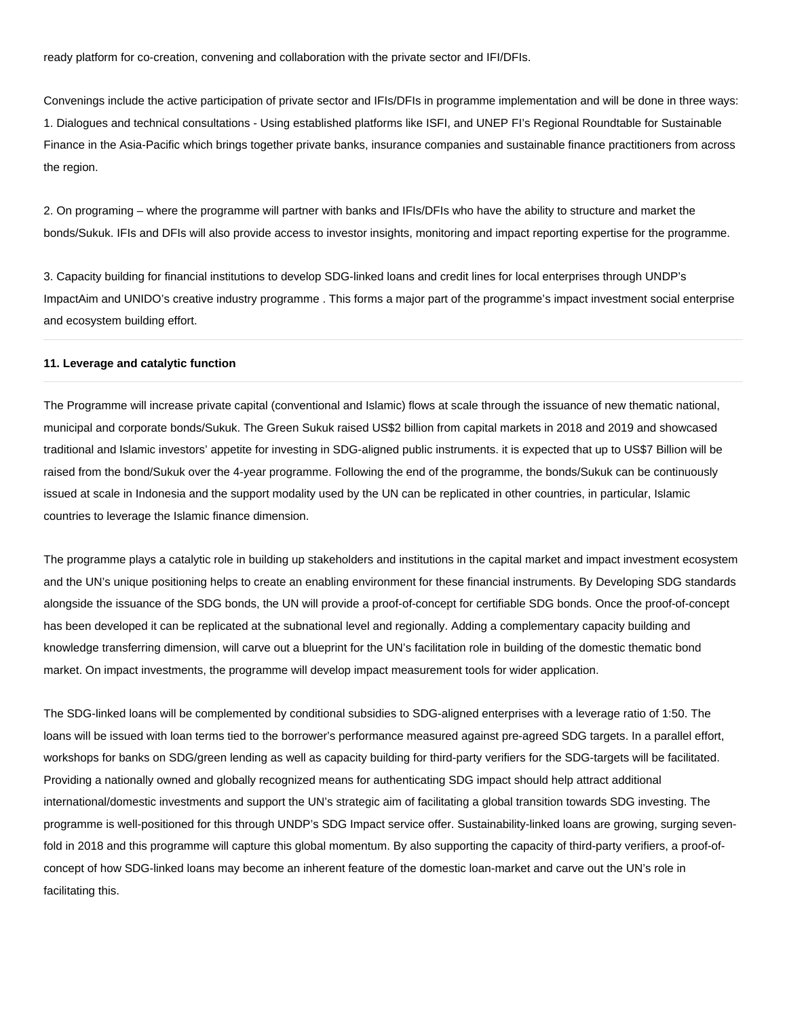ready platform for co-creation, convening and collaboration with the private sector and IFI/DFIs.

Convenings include the active participation of private sector and IFIs/DFIs in programme implementation and will be done in three ways: 1. Dialogues and technical consultations - Using established platforms like ISFI, and UNEP FI's Regional Roundtable for Sustainable Finance in the Asia-Pacific which brings together private banks, insurance companies and sustainable finance practitioners from across the region.

2. On programing – where the programme will partner with banks and IFIs/DFIs who have the ability to structure and market the bonds/Sukuk. IFIs and DFIs will also provide access to investor insights, monitoring and impact reporting expertise for the programme.

3. Capacity building for financial institutions to develop SDG-linked loans and credit lines for local enterprises through UNDP's ImpactAim and UNIDO's creative industry programme . This forms a major part of the programme's impact investment social enterprise and ecosystem building effort.

### **11. Leverage and catalytic function**

The Programme will increase private capital (conventional and Islamic) flows at scale through the issuance of new thematic national, municipal and corporate bonds/Sukuk. The Green Sukuk raised US\$2 billion from capital markets in 2018 and 2019 and showcased traditional and Islamic investors' appetite for investing in SDG-aligned public instruments. it is expected that up to US\$7 Billion will be raised from the bond/Sukuk over the 4-year programme. Following the end of the programme, the bonds/Sukuk can be continuously issued at scale in Indonesia and the support modality used by the UN can be replicated in other countries, in particular, Islamic countries to leverage the Islamic finance dimension.

The programme plays a catalytic role in building up stakeholders and institutions in the capital market and impact investment ecosystem and the UN's unique positioning helps to create an enabling environment for these financial instruments. By Developing SDG standards alongside the issuance of the SDG bonds, the UN will provide a proof-of-concept for certifiable SDG bonds. Once the proof-of-concept has been developed it can be replicated at the subnational level and regionally. Adding a complementary capacity building and knowledge transferring dimension, will carve out a blueprint for the UN's facilitation role in building of the domestic thematic bond market. On impact investments, the programme will develop impact measurement tools for wider application.

The SDG-linked loans will be complemented by conditional subsidies to SDG-aligned enterprises with a leverage ratio of 1:50. The loans will be issued with loan terms tied to the borrower's performance measured against pre-agreed SDG targets. In a parallel effort, workshops for banks on SDG/green lending as well as capacity building for third-party verifiers for the SDG-targets will be facilitated. Providing a nationally owned and globally recognized means for authenticating SDG impact should help attract additional international/domestic investments and support the UN's strategic aim of facilitating a global transition towards SDG investing. The programme is well-positioned for this through UNDP's SDG Impact service offer. Sustainability-linked loans are growing, surging sevenfold in 2018 and this programme will capture this global momentum. By also supporting the capacity of third-party verifiers, a proof-ofconcept of how SDG-linked loans may become an inherent feature of the domestic loan-market and carve out the UN's role in facilitating this.